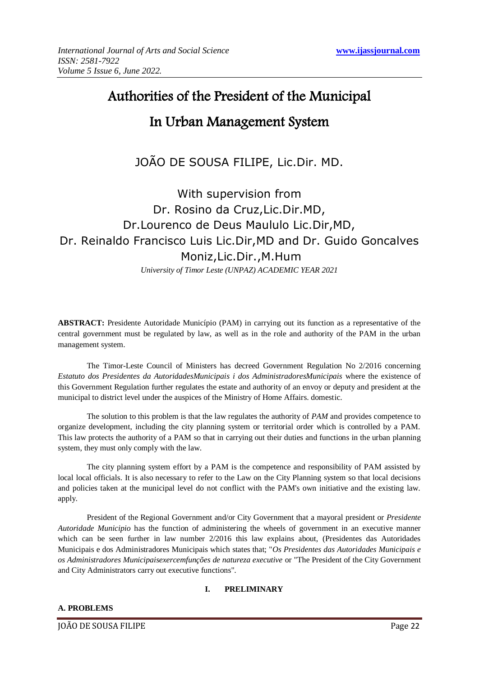# Authorities of the President of the Municipal

## In Urban Management System

JOÃO DE SOUSA FILIPE, Lic.Dir. MD.

# With supervision from Dr. Rosino da Cruz,Lic.Dir.MD, Dr.Lourenco de Deus Maululo Lic.Dir,MD, Dr. Reinaldo Francisco Luis Lic.Dir,MD and Dr. Guido Goncalves Moniz,Lic.Dir.,M.Hum

*University of Timor Leste (UNPAZ) ACADEMIC YEAR 2021*

**ABSTRACT:** Presidente Autoridade Município (PAM) in carrying out its function as a representative of the central government must be regulated by law, as well as in the role and authority of the PAM in the urban management system.

The Timor-Leste Council of Ministers has decreed Government Regulation No 2/2016 concerning *Estatuto dos Presidentes da AutoridadesMunicipais i dos AdministradoresMunicipais* where the existence of this Government Regulation further regulates the estate and authority of an envoy or deputy and president at the municipal to district level under the auspices of the Ministry of Home Affairs. domestic.

The solution to this problem is that the law regulates the authority of *PAM* and provides competence to organize development, including the city planning system or territorial order which is controlled by a PAM. This law protects the authority of a PAM so that in carrying out their duties and functions in the urban planning system, they must only comply with the law.

The city planning system effort by a PAM is the competence and responsibility of PAM assisted by local local officials. It is also necessary to refer to the Law on the City Planning system so that local decisions and policies taken at the municipal level do not conflict with the PAM's own initiative and the existing law. apply.

President of the Regional Government and/or City Government that a mayoral president or *Presidente Autoridade Municipio* has the function of administering the wheels of government in an executive manner which can be seen further in law number  $2/2016$  this law explains about, (Presidentes das Autoridades Municipais e dos Administradores Municipais which states that; "*Os Presidentes das Autoridades Municipais e os Administradores Municipaisexercemfunções de natureza executive* or "The President of the City Government and City Administrators carry out executive functions".

### **I. PRELIMINARY**

### **A. PROBLEMS**

JOÃO DE SOUSA FILIPE Page 22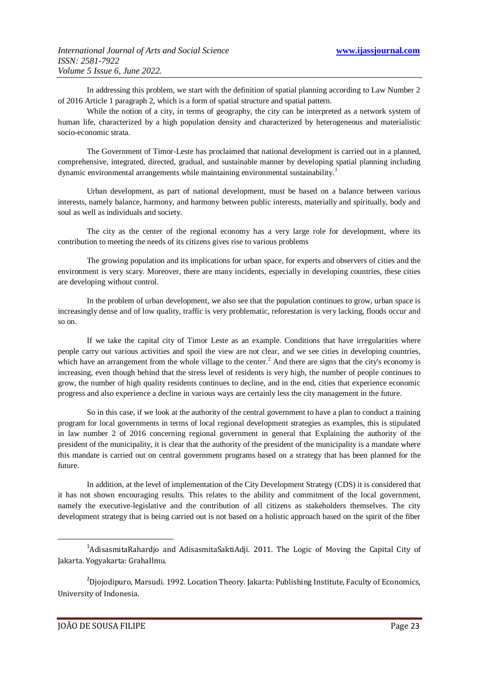In addressing this problem, we start with the definition of spatial planning according to Law Number 2 of 2016 Article 1 paragraph 2, which is a form of spatial structure and spatial pattern.

While the notion of a city, in terms of geography, the city can be interpreted as a network system of human life, characterized by a high population density and characterized by heterogeneous and materialistic socio-economic strata.

The Government of Timor-Leste has proclaimed that national development is carried out in a planned, comprehensive, integrated, directed, gradual, and sustainable manner by developing spatial planning including dynamic environmental arrangements while maintaining environmental sustainability.<sup>1</sup>

Urban development, as part of national development, must be based on a balance between various interests, namely balance, harmony, and harmony between public interests, materially and spiritually, body and soul as well as individuals and society.

The city as the center of the regional economy has a very large role for development, where its contribution to meeting the needs of its citizens gives rise to various problems

The growing population and its implications for urban space, for experts and observers of cities and the environment is very scary. Moreover, there are many incidents, especially in developing countries, these cities are developing without control.

In the problem of urban development, we also see that the population continues to grow, urban space is increasingly dense and of low quality, traffic is very problematic, reforestation is very lacking, floods occur and so on.

If we take the capital city of Timor Leste as an example. Conditions that have irregularities where people carry out various activities and spoil the view are not clear, and we see cities in developing countries, which have an arrangement from the whole village to the center.<sup>2</sup> And there are signs that the city's economy is increasing, even though behind that the stress level of residents is very high, the number of people continues to grow, the number of high quality residents continues to decline, and in the end, cities that experience economic progress and also experience a decline in various ways are certainly less the city management in the future.

So in this case, if we look at the authority of the central government to have a plan to conduct a training program for local governments in terms of local regional development strategies as examples, this is stipulated in law number 2 of 2016 concerning regional government in general that Explaining the authority of the president of the municipality, it is clear that the authority of the president of the municipality is a mandate where this mandate is carried out on central government programs based on a strategy that has been planned for the future.

In addition, at the level of implementation of the City Development Strategy (CDS) it is considered that it has not shown encouraging results. This relates to the ability and commitment of the local government, namely the executive-legislative and the contribution of all citizens as stakeholders themselves. The city development strategy that is being carried out is not based on a holistic approach based on the spirit of the fiber

-

<sup>&</sup>lt;sup>1</sup>AdisasmitaRahardjo and AdisasmitaSaktiAdji. 2011. The Logic of Moving the Capital City of Jakarta. Yogyakarta: GrahaIlmu.

 $^{2}$ Djojodipuro, Marsudi. 1992. Location Theory. Jakarta: Publishing Institute, Faculty of Economics, University of Indonesia.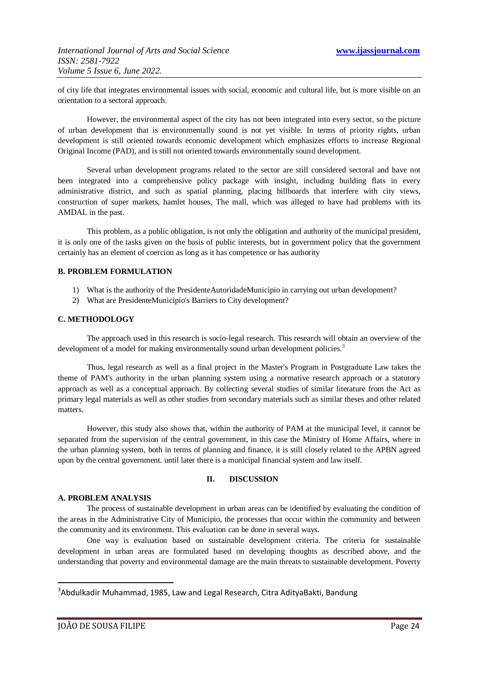of city life that integrates environmental issues with social, economic and cultural life, but is more visible on an orientation to a sectoral approach.

However, the environmental aspect of the city has not been integrated into every sector, so the picture of urban development that is environmentally sound is not yet visible. In terms of priority rights, urban development is still oriented towards economic development which emphasizes efforts to increase Regional Original Income (PAD), and is still not oriented towards environmentally sound development.

Several urban development programs related to the sector are still considered sectoral and have not been integrated into a comprehensive policy package with insight, including building flats in every administrative district, and such as spatial planning, placing billboards that interfere with city views, construction of super markets, hamlet houses, The mall, which was alleged to have had problems with its AMDAL in the past.

This problem, as a public obligation, is not only the obligation and authority of the municipal president, it is only one of the tasks given on the basis of public interests, but in government policy that the government certainly has an element of coercion as long as it has competence or has authority

#### **B. PROBLEM FORMULATION**

- 1) What is the authority of the PresidenteAutoridadeMunicipio in carrying out urban development?
- 2) What are PresidenteMunicipio's Barriers to City development?

#### **C. METHODOLOGY**

The approach used in this research is socio-legal research. This research will obtain an overview of the development of a model for making environmentally sound urban development policies.<sup>3</sup>

Thus, legal research as well as a final project in the Master's Program in Postgraduate Law takes the theme of PAM's authority in the urban planning system using a normative research approach or a statutory approach as well as a conceptual approach. By collecting several studies of similar literature from the Act as primary legal materials as well as other studies from secondary materials such as similar theses and other related matters.

However, this study also shows that, within the authority of PAM at the municipal level, it cannot be separated from the supervision of the central government, in this case the Ministry of Home Affairs, where in the urban planning system, both in terms of planning and finance, it is still closely related to the APBN agreed upon by the central government. until later there is a municipal financial system and law itself.

#### **II. DISCUSSION**

#### **A. PROBLEM ANALYSIS**

The process of sustainable development in urban areas can be identified by evaluating the condition of the areas in the Administrative City of Municipio, the processes that occur within the community and between the community and its environment. This evaluation can be done in several ways.

One way is evaluation based on sustainable development criteria. The criteria for sustainable development in urban areas are formulated based on developing thoughts as described above, and the understanding that poverty and environmental damage are the main threats to sustainable development. Poverty

1

<sup>3</sup> Abdulkadir Muhammad, 1985, Law and Legal Research, Citra AdityaBakti, Bandung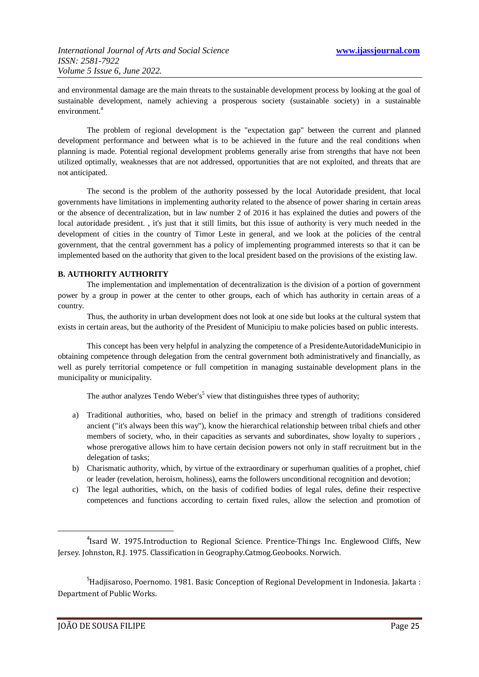and environmental damage are the main threats to the sustainable development process by looking at the goal of sustainable development, namely achieving a prosperous society (sustainable society) in a sustainable environment.<sup>4</sup>

The problem of regional development is the "expectation gap" between the current and planned development performance and between what is to be achieved in the future and the real conditions when planning is made. Potential regional development problems generally arise from strengths that have not been utilized optimally, weaknesses that are not addressed, opportunities that are not exploited, and threats that are not anticipated.

The second is the problem of the authority possessed by the local Autoridade president, that local governments have limitations in implementing authority related to the absence of power sharing in certain areas or the absence of decentralization, but in law number 2 of 2016 it has explained the duties and powers of the local autoridade president. , it's just that it still limits, but this issue of authority is very much needed in the development of cities in the country of Timor Leste in general, and we look at the policies of the central government, that the central government has a policy of implementing programmed interests so that it can be implemented based on the authority that given to the local president based on the provisions of the existing law.

#### **B. AUTHORITY AUTHORITY**

The implementation and implementation of decentralization is the division of a portion of government power by a group in power at the center to other groups, each of which has authority in certain areas of a country.

Thus, the authority in urban development does not look at one side but looks at the cultural system that exists in certain areas, but the authority of the President of Municipiu to make policies based on public interests.

This concept has been very helpful in analyzing the competence of a PresidenteAutoridadeMunicipio in obtaining competence through delegation from the central government both administratively and financially, as well as purely territorial competence or full competition in managing sustainable development plans in the municipality or municipality.

The author analyzes Tendo Weber's<sup>5</sup> view that distinguishes three types of authority;

- a) Traditional authorities, who, based on belief in the primacy and strength of traditions considered ancient ("it's always been this way"), know the hierarchical relationship between tribal chiefs and other members of society, who, in their capacities as servants and subordinates, show loyalty to superiors , whose prerogative allows him to have certain decision powers not only in staff recruitment but in the delegation of tasks;
- b) Charismatic authority, which, by virtue of the extraordinary or superhuman qualities of a prophet, chief or leader (revelation, heroism, holiness), earns the followers unconditional recognition and devotion;
- c) The legal authorities, which, on the basis of codified bodies of legal rules, define their respective competences and functions according to certain fixed rules, allow the selection and promotion of

 $<sup>5</sup>$ Hadjisaroso, Poernomo. 1981. Basic Conception of Regional Development in Indonesia. Jakarta :</sup> Department of Public Works.

**.** 

<sup>&</sup>lt;sup>4</sup>Isard W. 1975. Introduction to Regional Science. Prentice-Things Inc. Englewood Cliffs, New Jersey. Johnston, R.J. 1975. Classification in Geography.Catmog.Geobooks. Norwich.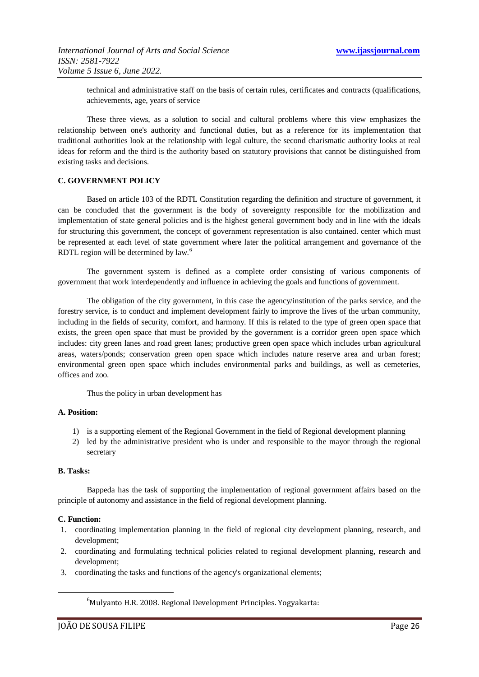technical and administrative staff on the basis of certain rules, certificates and contracts (qualifications, achievements, age, years of service

These three views, as a solution to social and cultural problems where this view emphasizes the relationship between one's authority and functional duties, but as a reference for its implementation that traditional authorities look at the relationship with legal culture, the second charismatic authority looks at real ideas for reform and the third is the authority based on statutory provisions that cannot be distinguished from existing tasks and decisions.

#### **C. GOVERNMENT POLICY**

Based on article 103 of the RDTL Constitution regarding the definition and structure of government, it can be concluded that the government is the body of sovereignty responsible for the mobilization and implementation of state general policies and is the highest general government body and in line with the ideals for structuring this government, the concept of government representation is also contained. center which must be represented at each level of state government where later the political arrangement and governance of the RDTL region will be determined by law.<sup>6</sup>

The government system is defined as a complete order consisting of various components of government that work interdependently and influence in achieving the goals and functions of government.

The obligation of the city government, in this case the agency/institution of the parks service, and the forestry service, is to conduct and implement development fairly to improve the lives of the urban community, including in the fields of security, comfort, and harmony. If this is related to the type of green open space that exists, the green open space that must be provided by the government is a corridor green open space which includes: city green lanes and road green lanes; productive green open space which includes urban agricultural areas, waters/ponds; conservation green open space which includes nature reserve area and urban forest; environmental green open space which includes environmental parks and buildings, as well as cemeteries, offices and zoo.

Thus the policy in urban development has

#### **A. Position:**

- 1) is a supporting element of the Regional Government in the field of Regional development planning
- 2) led by the administrative president who is under and responsible to the mayor through the regional secretary

#### **B. Tasks:**

Bappeda has the task of supporting the implementation of regional government affairs based on the principle of autonomy and assistance in the field of regional development planning.

#### **C. Function:**

**.** 

- 1. coordinating implementation planning in the field of regional city development planning, research, and development;
- 2. coordinating and formulating technical policies related to regional development planning, research and development;
- 3. coordinating the tasks and functions of the agency's organizational elements;

<sup>6</sup>Mulyanto H.R. 2008. Regional Development Principles. Yogyakarta: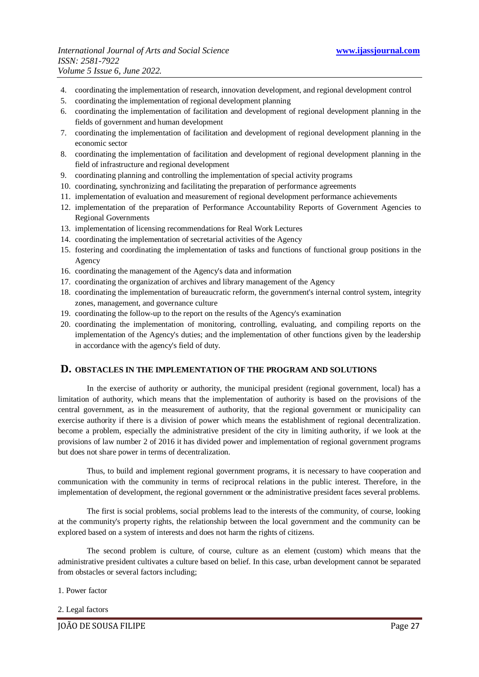- 4. coordinating the implementation of research, innovation development, and regional development control
- 5. coordinating the implementation of regional development planning
- 6. coordinating the implementation of facilitation and development of regional development planning in the fields of government and human development
- 7. coordinating the implementation of facilitation and development of regional development planning in the economic sector
- 8. coordinating the implementation of facilitation and development of regional development planning in the field of infrastructure and regional development
- 9. coordinating planning and controlling the implementation of special activity programs
- 10. coordinating, synchronizing and facilitating the preparation of performance agreements
- 11. implementation of evaluation and measurement of regional development performance achievements
- 12. implementation of the preparation of Performance Accountability Reports of Government Agencies to Regional Governments
- 13. implementation of licensing recommendations for Real Work Lectures
- 14. coordinating the implementation of secretarial activities of the Agency
- 15. fostering and coordinating the implementation of tasks and functions of functional group positions in the Agency
- 16. coordinating the management of the Agency's data and information
- 17. coordinating the organization of archives and library management of the Agency
- 18. coordinating the implementation of bureaucratic reform, the government's internal control system, integrity zones, management, and governance culture
- 19. coordinating the follow-up to the report on the results of the Agency's examination
- 20. coordinating the implementation of monitoring, controlling, evaluating, and compiling reports on the implementation of the Agency's duties; and the implementation of other functions given by the leadership in accordance with the agency's field of duty.

#### **D. OBSTACLES IN THE IMPLEMENTATION OF THE PROGRAM AND SOLUTIONS**

In the exercise of authority or authority, the municipal president (regional government, local) has a limitation of authority, which means that the implementation of authority is based on the provisions of the central government, as in the measurement of authority, that the regional government or municipality can exercise authority if there is a division of power which means the establishment of regional decentralization. become a problem, especially the administrative president of the city in limiting authority, if we look at the provisions of law number 2 of 2016 it has divided power and implementation of regional government programs but does not share power in terms of decentralization.

Thus, to build and implement regional government programs, it is necessary to have cooperation and communication with the community in terms of reciprocal relations in the public interest. Therefore, in the implementation of development, the regional government or the administrative president faces several problems.

The first is social problems, social problems lead to the interests of the community, of course, looking at the community's property rights, the relationship between the local government and the community can be explored based on a system of interests and does not harm the rights of citizens.

The second problem is culture, of course, culture as an element (custom) which means that the administrative president cultivates a culture based on belief. In this case, urban development cannot be separated from obstacles or several factors including;

- 1. Power factor
- 2. Legal factors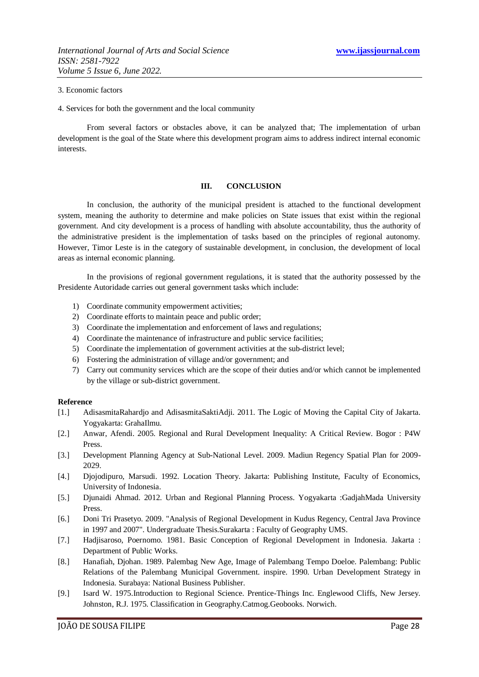#### 3. Economic factors

4. Services for both the government and the local community

From several factors or obstacles above, it can be analyzed that; The implementation of urban development is the goal of the State where this development program aims to address indirect internal economic interests.

#### **III. CONCLUSION**

In conclusion, the authority of the municipal president is attached to the functional development system, meaning the authority to determine and make policies on State issues that exist within the regional government. And city development is a process of handling with absolute accountability, thus the authority of the administrative president is the implementation of tasks based on the principles of regional autonomy. However, Timor Leste is in the category of sustainable development, in conclusion, the development of local areas as internal economic planning.

In the provisions of regional government regulations, it is stated that the authority possessed by the Presidente Autoridade carries out general government tasks which include:

- 1) Coordinate community empowerment activities;
- 2) Coordinate efforts to maintain peace and public order;
- 3) Coordinate the implementation and enforcement of laws and regulations;
- 4) Coordinate the maintenance of infrastructure and public service facilities;
- 5) Coordinate the implementation of government activities at the sub-district level;
- 6) Fostering the administration of village and/or government; and
- 7) Carry out community services which are the scope of their duties and/or which cannot be implemented by the village or sub-district government.

#### **Reference**

- [1.] AdisasmitaRahardjo and AdisasmitaSaktiAdji. 2011. The Logic of Moving the Capital City of Jakarta. Yogyakarta: GrahaIlmu.
- [2.] Anwar, Afendi. 2005. Regional and Rural Development Inequality: A Critical Review. Bogor : P4W Press.
- [3.] Development Planning Agency at Sub-National Level. 2009. Madiun Regency Spatial Plan for 2009- 2029.
- [4.] Djojodipuro, Marsudi. 1992. Location Theory. Jakarta: Publishing Institute, Faculty of Economics, University of Indonesia.
- [5.] Djunaidi Ahmad. 2012. Urban and Regional Planning Process. Yogyakarta :GadjahMada University Press.
- [6.] Doni Tri Prasetyo. 2009. "Analysis of Regional Development in Kudus Regency, Central Java Province in 1997 and 2007". Undergraduate Thesis.Surakarta : Faculty of Geography UMS.
- [7.] Hadjisaroso, Poernomo. 1981. Basic Conception of Regional Development in Indonesia. Jakarta : Department of Public Works.
- [8.] Hanafiah, Djohan. 1989. Palembag New Age, Image of Palembang Tempo Doeloe. Palembang: Public Relations of the Palembang Municipal Government. inspire. 1990. Urban Development Strategy in Indonesia. Surabaya: National Business Publisher.
- [9.] Isard W. 1975.Introduction to Regional Science. Prentice-Things Inc. Englewood Cliffs, New Jersey. Johnston, R.J. 1975. Classification in Geography.Catmog.Geobooks. Norwich.